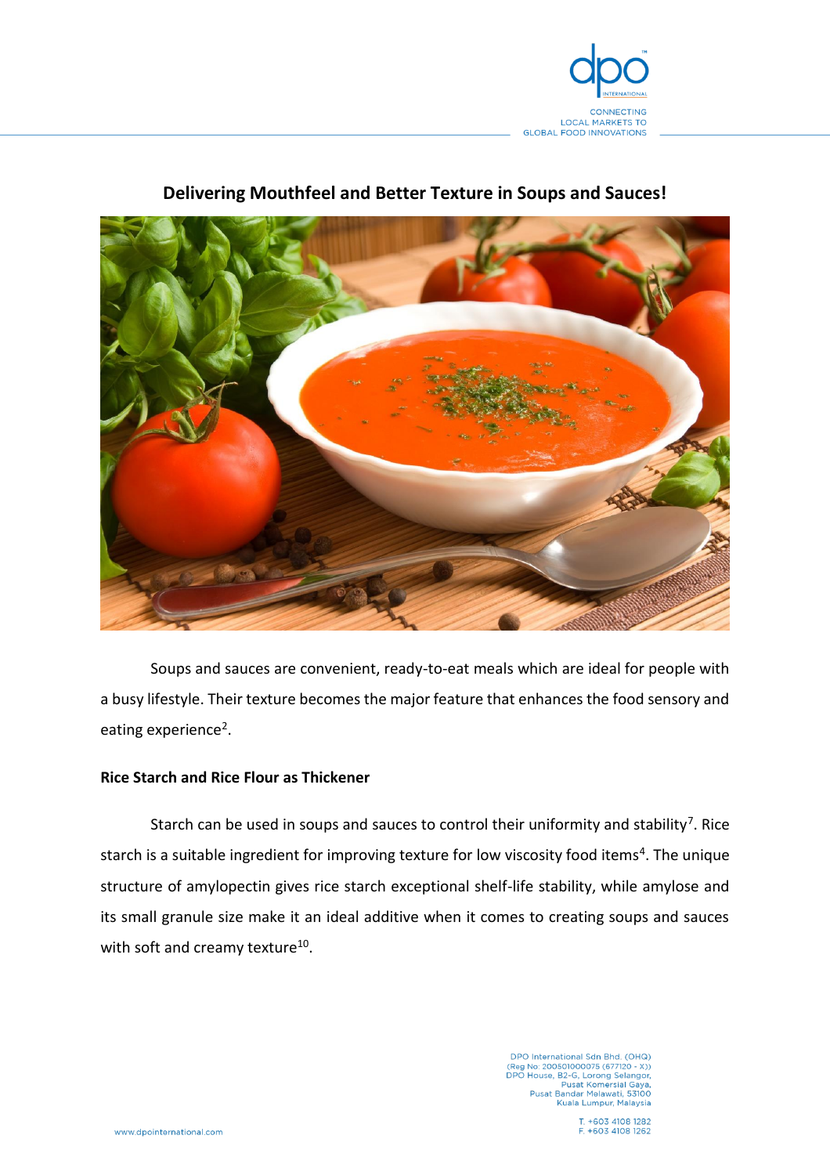

# **Delivering Mouthfeel and Better Texture in Soups and Sauces!**



Soups and sauces are convenient, ready-to-eat meals which are ideal for people with a busy lifestyle. Their texture becomes the major feature that enhances the food sensory and eating experience<sup>2</sup>.

## **Rice Starch and Rice Flour as Thickener**

Starch can be used in soups and sauces to control their uniformity and stability<sup>7</sup>. Rice starch is a suitable ingredient for improving texture for low viscosity food items<sup>4</sup>. The unique structure of amylopectin gives rice starch exceptional shelf-life stability, while amylose and its small granule size make it an ideal additive when it comes to creating soups and sauces with soft and creamy texture<sup>10</sup>.

> DPO International Sdn Bhd. (OHQ)<br>(Reg No: 200501000075 (677120 - X))<br>DPO House, B2-G, Lorong Selangor,<br>Pusat Komersial Gaya,<br>Pusat Bandar Melawati, 53100 Kuala Lumpur, Malaysia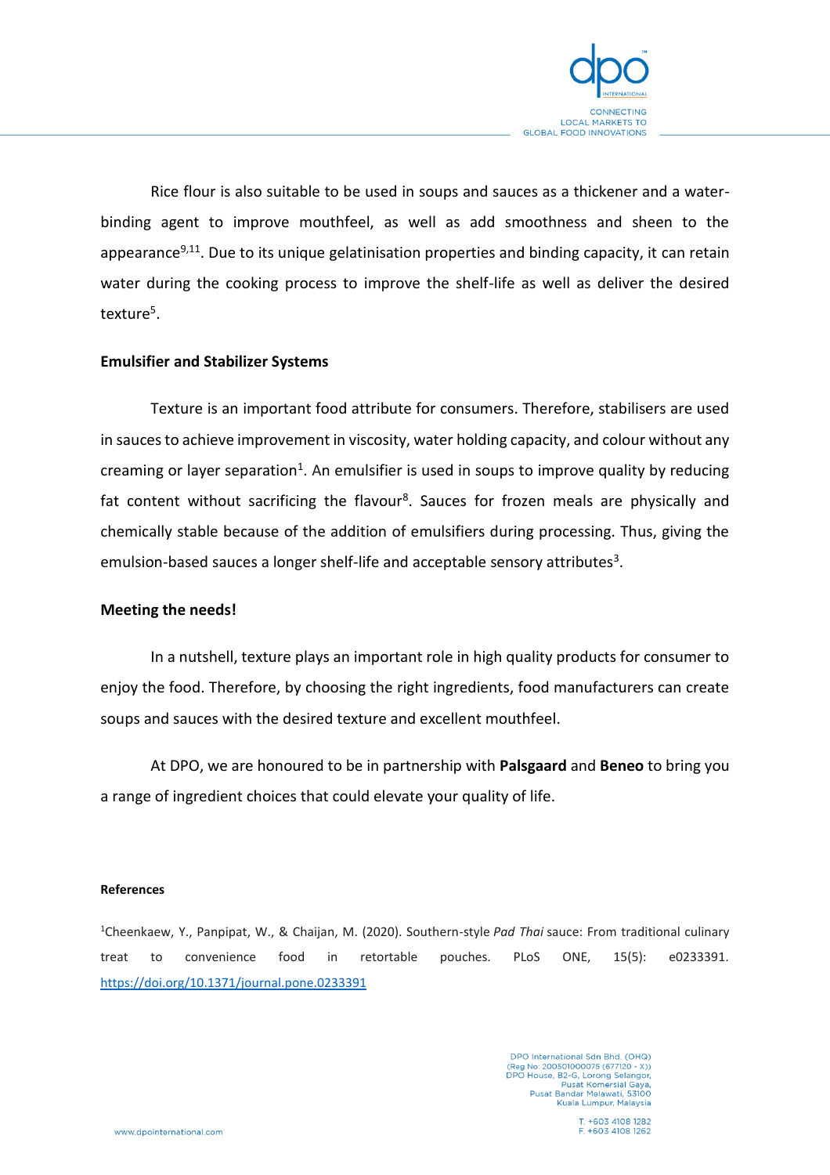

Rice flour is also suitable to be used in soups and sauces as a thickener and a waterbinding agent to improve mouthfeel, as well as add smoothness and sheen to the appearance<sup>9,11</sup>. Due to its unique gelatinisation properties and binding capacity, it can retain water during the cooking process to improve the shelf-life as well as deliver the desired texture<sup>5</sup>.

# **Emulsifier and Stabilizer Systems**

Texture is an important food attribute for consumers. Therefore, stabilisers are used in sauces to achieve improvement in viscosity, water holding capacity, and colour without any creaming or layer separation<sup>1</sup>. An emulsifier is used in soups to improve quality by reducing fat content without sacrificing the flavour<sup>8</sup>. Sauces for frozen meals are physically and chemically stable because of the addition of emulsifiers during processing. Thus, giving the emulsion-based sauces a longer shelf-life and acceptable sensory attributes<sup>3</sup>.

### **Meeting the needs!**

In a nutshell, texture plays an important role in high quality products for consumer to enjoy the food. Therefore, by choosing the right ingredients, food manufacturers can create soups and sauces with the desired texture and excellent mouthfeel.

At DPO, we are honoured to be in partnership with **Palsgaard** and **Beneo** to bring you a range of ingredient choices that could elevate your quality of life.

#### **References**

<sup>1</sup>Cheenkaew, Y., Panpipat, W., & Chaijan, M. (2020). Southern-style *Pad Thai* sauce: From traditional culinary treat to convenience food in retortable pouches. PLoS ONE, 15(5): e0233391. <https://doi.org/10.1371/journal.pone.0233391>